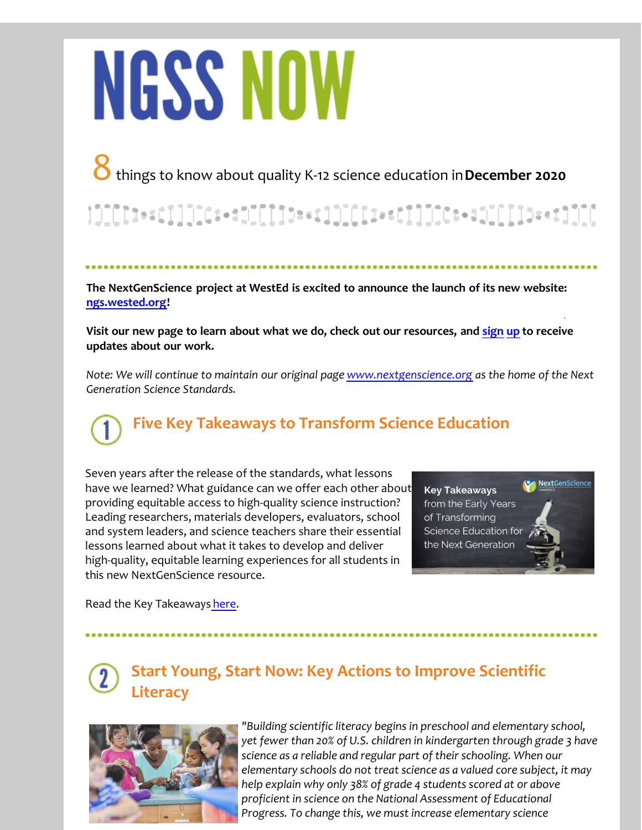# **NGSS NOW**

### 8 things to know about quality K-12 science education in **December 2020**

**The NextGenScience project at WestEd is excited to announce the launch of its new website: [ngs.wested.org](http://r20.rs6.net/tn.jsp?f=001tGLxcKJRV88-cF1t_Rcz6F3d4YgKcMjb9M-r2aQ4cMpVhHiwvEDQ_RxwiR6IC7Te5Rms0R5e2JeGFRRcrg84t-SNCLQCoH7ApwZpUCn5OscEvJKQFc3uIcsgXKLPLmz4a5cHWKZr-FnZNBZdNegFcUHPoKroy2koYNcVGzgsHuk=&c=&ch=)!** 

**[Visit our new page to learn about what we do, check out our resources, and](http://r20.rs6.net/tn.jsp?f=001tGLxcKJRV88-cF1t_Rcz6F3d4YgKcMjb9M-r2aQ4cMpVhHiwvEDQ_RxwiR6IC7TeTpVnGT3pLGkvRKx40zDkqYNnuQtpGCVifnldtQYxxza2Y5zkMoq-DvzcQPTuR2AJJg_8pGRfWwFZab80YeuwW1kjj3B1i1WgaQcc9cbxTtem--0sM-y0frbcDrNlAbkP&c=&ch=) sign up to receive updates about our work.** 

*Note: We will continue to maintain our original page [www.nextgenscience.org](http://r20.rs6.net/tn.jsp?f=001tGLxcKJRV88-cF1t_Rcz6F3d4YgKcMjb9M-r2aQ4cMpVhHiwvEDQ_e8TrSy3y88HTlxf30MrlKClxLo8sQLvk-O5eYQ44pwkQQFnhlv8teslruGQgQubXHIqUm2ZT6uAgpY6OF7Rzzkkz-YIbfSsQeFG_vG5UUoLuwE5MtsUrhHF2XAqlq-3rA==&c=&ch=) as the home of the Next Generation Science Standards.*

## **Five Key Takeaways to Transform Science Education**

Seven years after the release of the standards, what lessons have we learned? What guidance can we offer each other about providing equitable access to high-quality science instruction? Leading researchers, materials developers, evaluators, school and system leaders, and science teachers share their essential lessons learned about what it takes to develop and deliver high-quality, equitable learning experiences for all students in this new NextGenScience resource.

Next GenScience **Key Takeaways** from the Early Years of Transforming Science Education for the Next Generation

Read the Key Takeaways [here](http://r20.rs6.net/tn.jsp?f=001tGLxcKJRV88-cF1t_Rcz6F3d4YgKcMjb9M-r2aQ4cMpVhHiwvEDQ_RxwiR6IC7TeS9L8fxqIwnrib3MNn50hqV2Q5XBgCg0RSuA0Fx39l7hOqYqeM4NBrTqQ1pMDSVgtIRNRTmJbC-3wwqwd4kZRMdmrShXwvvtJrUhsfkPHwx4EGSbHojO4Fl-4-eQMvSPw&c=&ch=).

#### **Start Young, Start Now: Key Actions to Improve Scientific Literacy**



*"Building scientific literacy begins in preschool and elementary school, yet fewer than 20% of U.S. children in kindergarten through grade 3 have science as a reliable and regular part of their schooling. When our elementary schools do not treat science as a valued core subject, it may help explain why only 38% of grade 4 students scored at or above proficient in science on the National Assessment of Educational Progress. To change this, we must increase elementary science*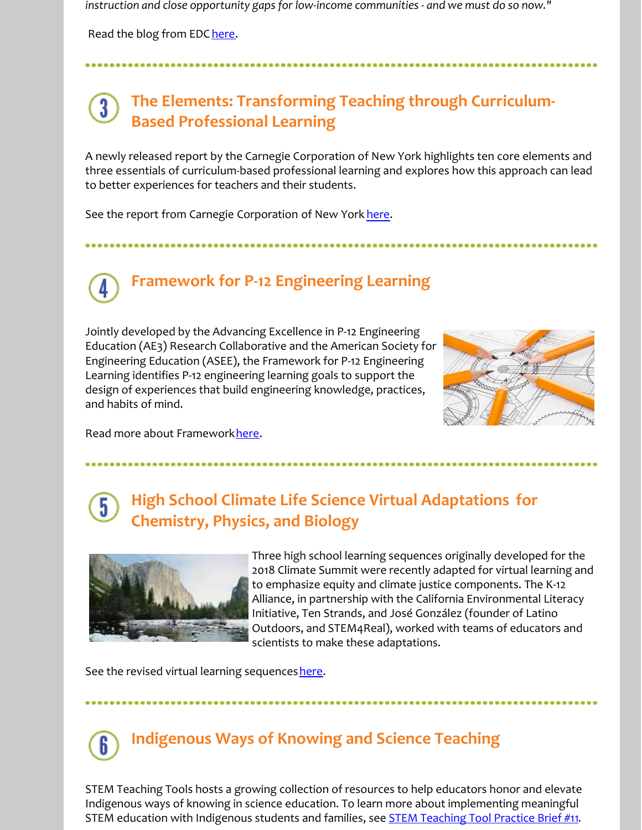*instruction and close opportunity gaps for low-income communities - and we must do so now."*

Read the blog from EDC [here](http://r20.rs6.net/tn.jsp?f=001tGLxcKJRV88-cF1t_Rcz6F3d4YgKcMjb9M-r2aQ4cMpVhHiwvEDQ_RxwiR6IC7TemvxjHFzEBXcdC-aOHGbqviq13rinYl7RVRBy2KXRW8DhRhJatkTYNEj4UxzPIfLNU2Y5qivNaMV1FgKfyr4IQfx8yhocn7hQFqJS82Hl-FomOxx0v-PmclGq4-yqUWZwvRGjiDR1MYHIHKU9Xx73FqtyvUaGIXF0hcI8MkmBm4HFGx6Rj4XNk6E4pOSpqIdqgnXI7CrNpVG3HDR8UYxHQfuSpBDKOmK4aj9Mfr4Ju0J3u7cPUqbcrWdlP2R8IO1sCHzt9L5iFbT2LmhY-On0wZVC_uYQeYk6EcvEbLCgbuiuQCqYLNcYJw==&c=&ch=).

#### **The Elements: Transforming Teaching through Curriculum-Based Professional Learning**

A newly released report by the Carnegie Corporation of New York highlights ten core elements and three essentials of curriculum-based professional learning and explores how this approach can lead to better experiences for teachers and their students.

See the report from Carnegie Corporation of New York [here.](http://r20.rs6.net/tn.jsp?f=001tGLxcKJRV88-cF1t_Rcz6F3d4YgKcMjb9M-r2aQ4cMpVhHiwvEDQ_RxwiR6IC7TewEpE1UrwNNQF8UQVez-lJWCogvc3j9pF3oLh2aeN3MjXGTQ54j0zw7Ksxv_GXKkGecOcjoRknT6P5tC4g66Q-11Gtq-nruzn50afGX8VfeIh-ilpxqN9NK0Bd3Cy4RRREY7RKvIP3y-SZO4cpGct-rtBVAn8nxPq2wmvIbGH6r_hox8j2ZYuoWceuZKvS5HKcYoAHNmfUPEaJiwEF2O8rfAAbojJ45ooV9Q3TB1pNMTpve_3zM93xzmIngDRm0n2bQCvqGO4Y490rSBzd9dme26Y31LeH3hLjeuP2ImalEakxViDt0u5fp1c9QAWEIV5LlgjW7Sxhn2SU8cucnE0B5tQW9HbVkpxqx_dYYXfsdp3ObYEeyqPV33C5E7tuFnN3yDSg7Pt4k1JLWJDC5dNXRcXsZOdRakHlVIMQv_x9YuP_f8FVx3b--tvR_2MloQQcI0AuOjnvSkEmFJ11D57A50yZPPiFGlncXVKf-sESxANMyTTgfWrz4S8KKw0EzAQq2FWO414ZtNnM2B2WnxK7rDVoTZ6KtYtB4V1TmHFUg0=&c=&ch=)

**Framework for P-12 Engineering Learning**

Jointly developed by the Advancing Excellence in P-12 Engineering Education (AE3) Research Collaborative and the American Society for Engineering Education (ASEE), the Framework for P-12 Engineering Learning identifies P-12 engineering learning goals to support the design of experiences that build engineering knowledge, practices, and habits of mind.



Read more about Framework [here](http://r20.rs6.net/tn.jsp?f=001tGLxcKJRV88-cF1t_Rcz6F3d4YgKcMjb9M-r2aQ4cMpVhHiwvEDQ_RxwiR6IC7TeXR0WALToCBz6e5vE9Hr8GcrNjfI3MWPm-yU0EXVJDLZR3E29g5wFYh2smHfQHBA5o7lJOauekVxemO8tXcguQ9JzCVAvpajnw-XmDyTmvhpm-EMbwLLiRySwnK0r_QHUSTNwwsZL94u0yQ_TozY8Lpq2bOWxuPVADKorwIGw4eKtRiyxSp1aHaPXJZFuVhit&c=&ch=).

#### **High School Climate Life Science Virtual Adaptations for Chemistry, Physics, and Biology**



Three high school learning sequences originally developed for the 2018 Climate Summit were recently adapted for virtual learning and to emphasize equity and climate justice components. The K-12 Alliance, in partnership with the California Environmental Literacy Initiative, Ten Strands, and José González (founder of Latino Outdoors, and STEM4Real), worked with teams of educators and scientists to make these adaptations.

See the revised virtual learning sequences [here](http://r20.rs6.net/tn.jsp?f=001tGLxcKJRV88-cF1t_Rcz6F3d4YgKcMjb9M-r2aQ4cMpVhHiwvEDQ_RxwiR6IC7TeN9m8ig7XZU_sq4IElR7PZeAnopLFxDrXAUmXRbjQYqU4CF7BmTwXx9RQ_zi9z8FjbinW6Y22t7754NDtJ5cy9jDiUaFqgZWVf_YsdYG7OooDOfaE2ZMIpo7ZLpDHU-cxNvSjLtdL2yXsHU-AFuSZDMfTBrutXBmq&c=&ch=).

#### **Indigenous Ways of Knowing and Science Teaching**

STEM Teaching Tools hosts a growing collection of resources to help educators honor and elevate Indigenous ways of knowing in science education. To learn more about implementing meaningful STEM education with Indigenous students and families, see **[STEM Teaching Tool Practice Brief #11](http://r20.rs6.net/tn.jsp?f=001tGLxcKJRV88-cF1t_Rcz6F3d4YgKcMjb9M-r2aQ4cMpVhHiwvEDQ_RxwiR6IC7Te8l_Stmv4aFp3PRdD0Mj1Tk4EeT5F0vGjKQA6-0BqTAWXH7nSjlglWKhpD9rK3d3JlB71ZlpimbwgZ-NMh83ZfVE1de48oo9DNFdpwK5ItH-VWQ_u9FgbqEJMQ3lBqpo4&c=&ch=)**.